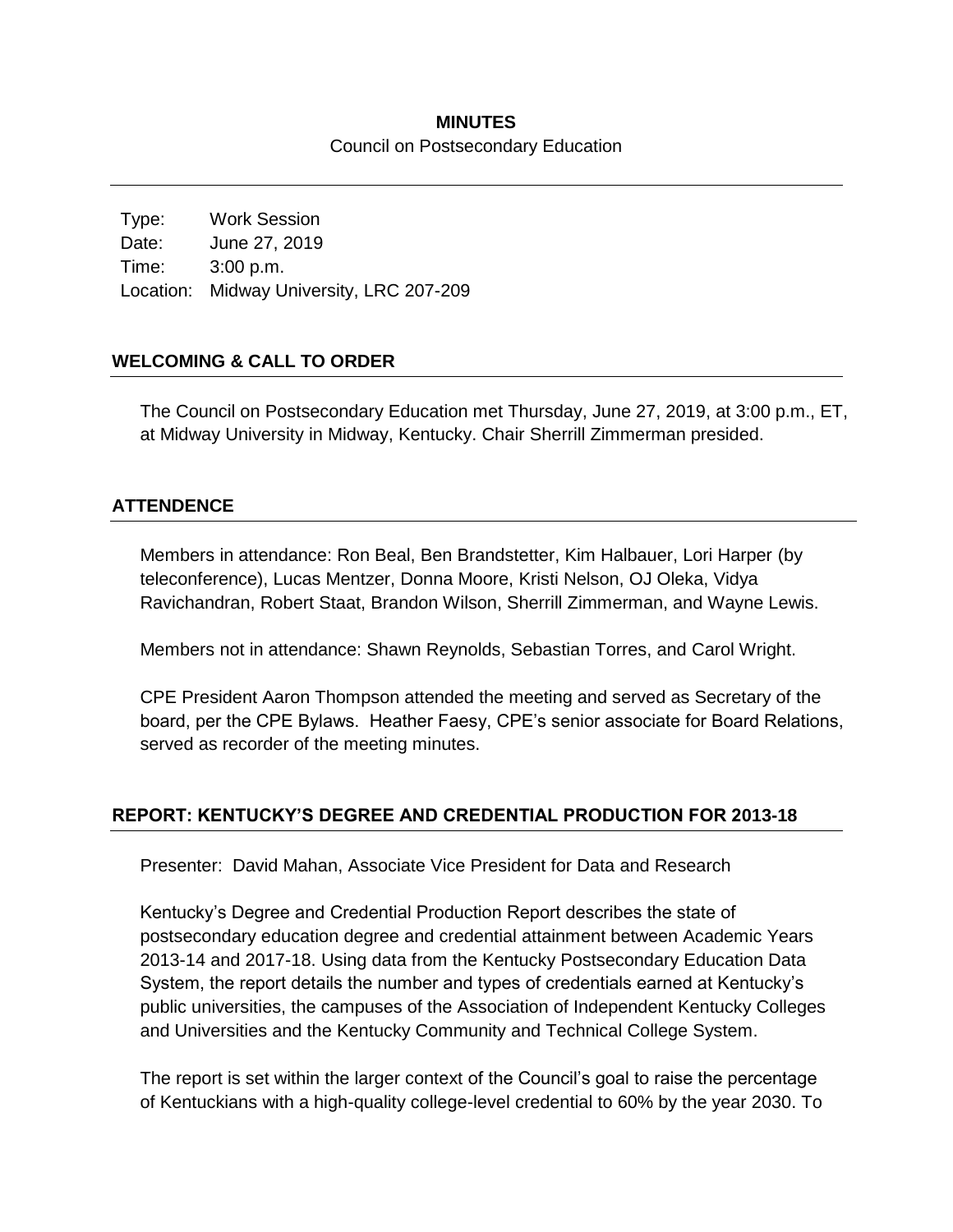### **MINUTES** Council on Postsecondary Education

Type: Work Session Date: June 27, 2019 Time: 3:00 p.m. Location: Midway University, LRC 207-209

#### **WELCOMING & CALL TO ORDER**

The Council on Postsecondary Education met Thursday, June 27, 2019, at 3:00 p.m., ET, at Midway University in Midway, Kentucky. Chair Sherrill Zimmerman presided.

### **ATTENDENCE**

Members in attendance: Ron Beal, Ben Brandstetter, Kim Halbauer, Lori Harper (by teleconference), Lucas Mentzer, Donna Moore, Kristi Nelson, OJ Oleka, Vidya Ravichandran, Robert Staat, Brandon Wilson, Sherrill Zimmerman, and Wayne Lewis.

Members not in attendance: Shawn Reynolds, Sebastian Torres, and Carol Wright.

CPE President Aaron Thompson attended the meeting and served as Secretary of the board, per the CPE Bylaws. Heather Faesy, CPE's senior associate for Board Relations, served as recorder of the meeting minutes.

## **REPORT: KENTUCKY'S DEGREE AND CREDENTIAL PRODUCTION FOR 2013-18**

Presenter: David Mahan, Associate Vice President for Data and Research

Kentucky's Degree and Credential Production Report describes the state of postsecondary education degree and credential attainment between Academic Years 2013-14 and 2017-18. Using data from the Kentucky Postsecondary Education Data System, the report details the number and types of credentials earned at Kentucky's public universities, the campuses of the Association of Independent Kentucky Colleges and Universities and the Kentucky Community and Technical College System.

The report is set within the larger context of the Council's goal to raise the percentage of Kentuckians with a high-quality college-level credential to 60% by the year 2030. To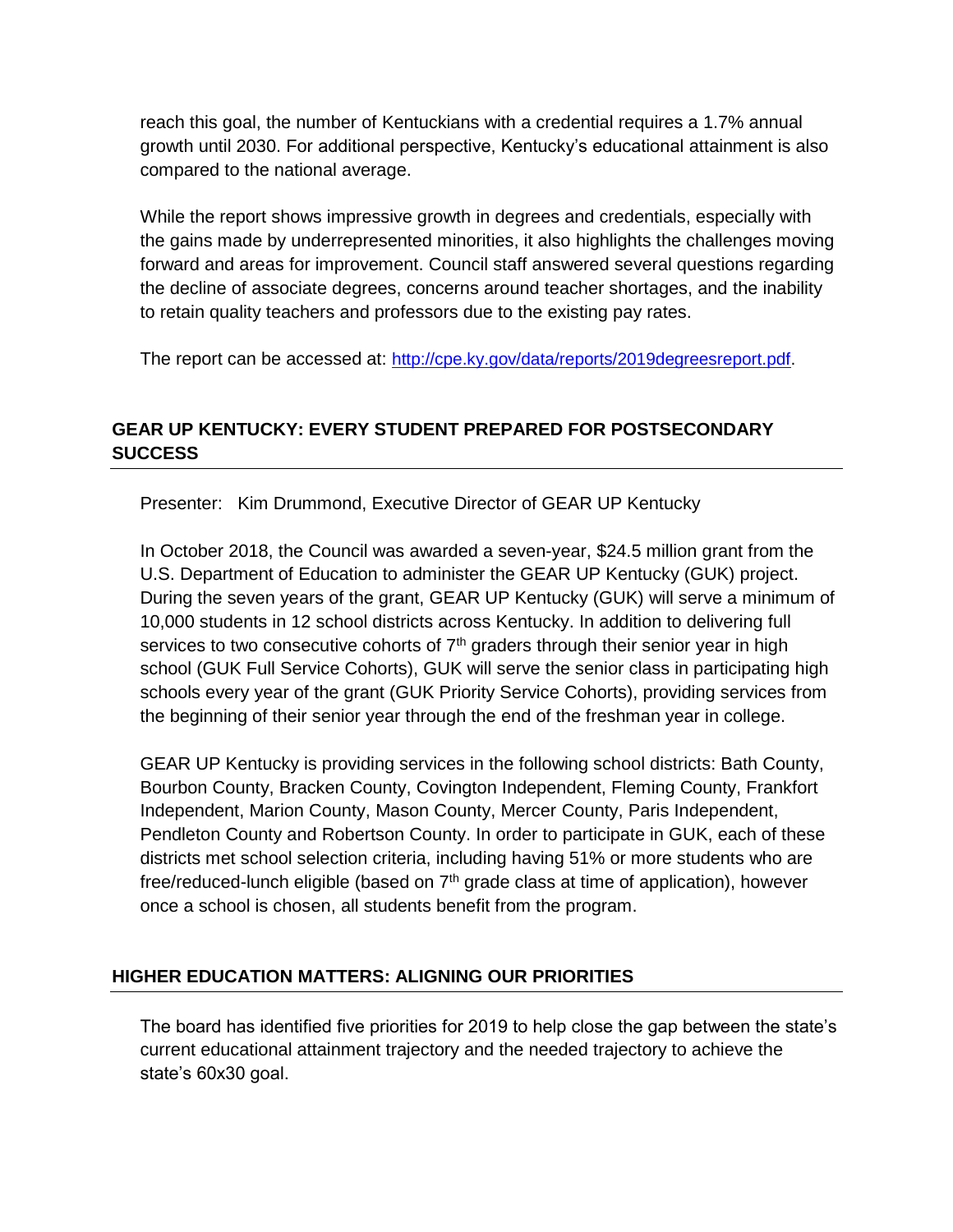reach this goal, the number of Kentuckians with a credential requires a 1.7% annual growth until 2030. For additional perspective, Kentucky's educational attainment is also compared to the national average.

While the report shows impressive growth in degrees and credentials, especially with the gains made by underrepresented minorities, it also highlights the challenges moving forward and areas for improvement. Council staff answered several questions regarding the decline of associate degrees, concerns around teacher shortages, and the inability to retain quality teachers and professors due to the existing pay rates.

The report can be accessed at: [http://cpe.ky.gov/data/reports/2019degreesreport.pdf.](http://cpe.ky.gov/data/reports/2019degreesreport.pdf)

# **GEAR UP KENTUCKY: EVERY STUDENT PREPARED FOR POSTSECONDARY SUCCESS**

Presenter: Kim Drummond, Executive Director of GEAR UP Kentucky

In October 2018, the Council was awarded a seven-year, \$24.5 million grant from the U.S. Department of Education to administer the GEAR UP Kentucky (GUK) project. During the seven years of the grant, GEAR UP Kentucky (GUK) will serve a minimum of 10,000 students in 12 school districts across Kentucky. In addition to delivering full services to two consecutive cohorts of  $7<sup>th</sup>$  graders through their senior year in high school (GUK Full Service Cohorts), GUK will serve the senior class in participating high schools every year of the grant (GUK Priority Service Cohorts), providing services from the beginning of their senior year through the end of the freshman year in college.

GEAR UP Kentucky is providing services in the following school districts: Bath County, Bourbon County, Bracken County, Covington Independent, Fleming County, Frankfort Independent, Marion County, Mason County, Mercer County, Paris Independent, Pendleton County and Robertson County. In order to participate in GUK, each of these districts met school selection criteria, including having 51% or more students who are free/reduced-lunch eligible (based on  $7<sup>th</sup>$  grade class at time of application), however once a school is chosen, all students benefit from the program.

## **HIGHER EDUCATION MATTERS: ALIGNING OUR PRIORITIES**

The board has identified five priorities for 2019 to help close the gap between the state's current educational attainment trajectory and the needed trajectory to achieve the state's 60x30 goal.